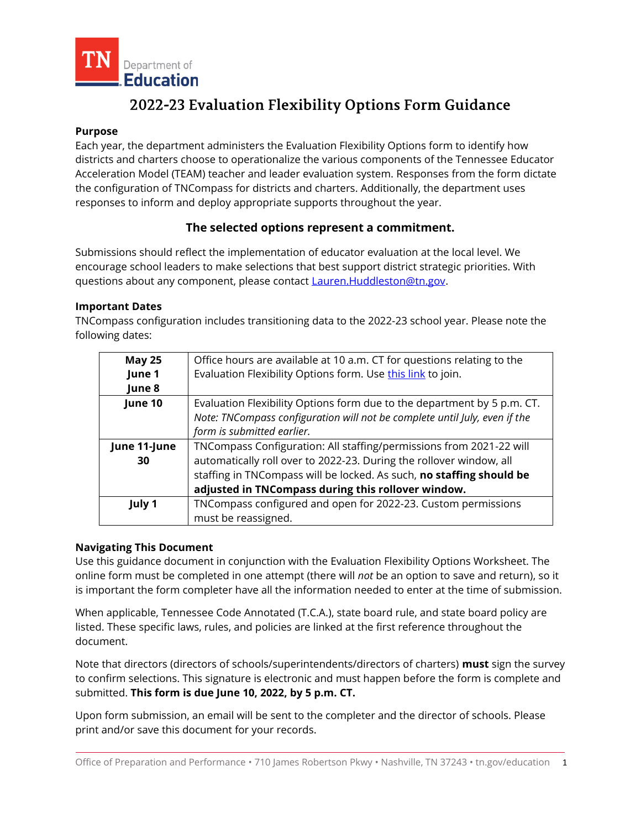

# 2022-23 Evaluation Flexibility Options Form Guidance

#### **Purpose**

Each year, the department administers the Evaluation Flexibility Options form to identify how districts and charters choose to operationalize the various components of the Tennessee Educator Acceleration Model (TEAM) teacher and leader evaluation system. Responses from the form dictate the configuration of TNCompass for districts and charters. Additionally, the department uses responses to inform and deploy appropriate supports throughout the year.

## **The selected options represent a commitment.**

Submissions should reflect the implementation of educator evaluation at the local level. We encourage school leaders to make selections that best support district strategic priorities. With questions about any component, please contact **Lauren.Huddleston@tn.gov.** 

#### **Important Dates**

TNCompass configuration includes transitioning data to the 2022-23 school year. Please note the following dates:

| <b>May 25</b> | Office hours are available at 10 a.m. CT for questions relating to the     |  |
|---------------|----------------------------------------------------------------------------|--|
| June 1        | Evaluation Flexibility Options form. Use this link to join.                |  |
| June 8        |                                                                            |  |
| June 10       | Evaluation Flexibility Options form due to the department by 5 p.m. CT.    |  |
|               | Note: TNCompass configuration will not be complete until July, even if the |  |
|               | form is submitted earlier.                                                 |  |
| June 11-June  | TNCompass Configuration: All staffing/permissions from 2021-22 will        |  |
| 30            | automatically roll over to 2022-23. During the rollover window, all        |  |
|               | staffing in TNCompass will be locked. As such, no staffing should be       |  |
|               | adjusted in TNCompass during this rollover window.                         |  |
| July 1        | TNCompass configured and open for 2022-23. Custom permissions              |  |
|               | must be reassigned.                                                        |  |

#### **Navigating This Document**

Use this guidance document in conjunction with the Evaluation Flexibility Options Worksheet. The online form must be completed in one attempt (there will *not* be an option to save and return), so it is important the form completer have all the information needed to enter at the time of submission.

When applicable, Tennessee Code Annotated (T.C.A.), state board rule, and state board policy are listed. These specific laws, rules, and policies are linked at the first reference throughout the document.

Note that directors (directors of schools/superintendents/directors of charters) **must** sign the survey to confirm selections. This signature is electronic and must happen before the form is complete and submitted. **This form is due June 10, 2022, by 5 p.m. CT.**

Upon form submission, an email will be sent to the completer and the director of schools. Please print and/or save this document for your records.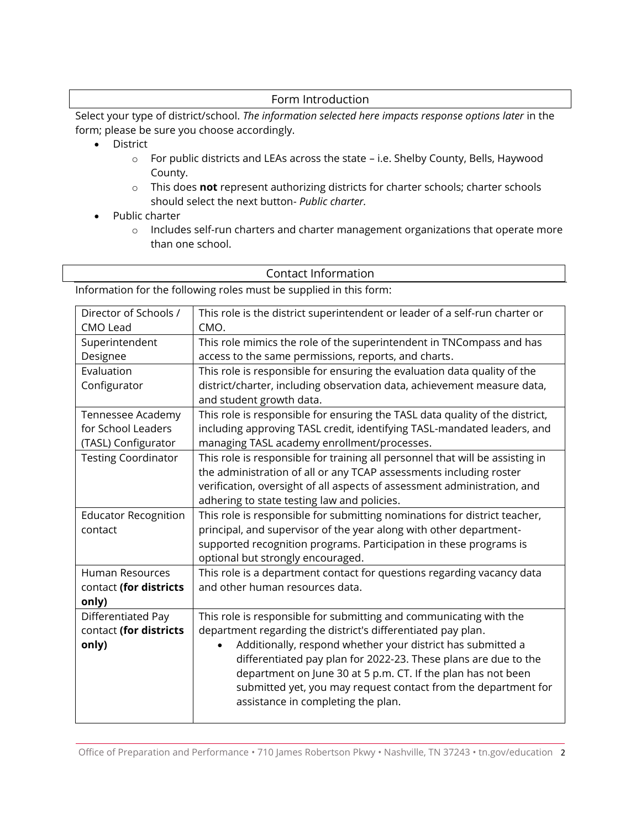## Form Introduction

Select your type of district/school. *The information selected here impacts response options later* in the form; please be sure you choose accordingly.

- District
	- o For public districts and LEAs across the state i.e. Shelby County, Bells, Haywood County.
	- o This does **not** represent authorizing districts for charter schools; charter schools should select the next button- *Public charter.*
- Public charter
	- o Includes self-run charters and charter management organizations that operate more than one school.

#### Contact Information

Information for the following roles must be supplied in this form:

| Director of Schools /       | This role is the district superintendent or leader of a self-run charter or   |
|-----------------------------|-------------------------------------------------------------------------------|
| CMO Lead                    | CMO.                                                                          |
| Superintendent              | This role mimics the role of the superintendent in TNCompass and has          |
| Designee                    | access to the same permissions, reports, and charts.                          |
| Evaluation                  | This role is responsible for ensuring the evaluation data quality of the      |
| Configurator                | district/charter, including observation data, achievement measure data,       |
|                             | and student growth data.                                                      |
| Tennessee Academy           | This role is responsible for ensuring the TASL data quality of the district,  |
| for School Leaders          | including approving TASL credit, identifying TASL-mandated leaders, and       |
| (TASL) Configurator         | managing TASL academy enrollment/processes.                                   |
| <b>Testing Coordinator</b>  | This role is responsible for training all personnel that will be assisting in |
|                             | the administration of all or any TCAP assessments including roster            |
|                             | verification, oversight of all aspects of assessment administration, and      |
|                             | adhering to state testing law and policies.                                   |
| <b>Educator Recognition</b> | This role is responsible for submitting nominations for district teacher,     |
| contact                     | principal, and supervisor of the year along with other department-            |
|                             | supported recognition programs. Participation in these programs is            |
|                             | optional but strongly encouraged.                                             |
| <b>Human Resources</b>      | This role is a department contact for questions regarding vacancy data        |
| contact (for districts      | and other human resources data.                                               |
| only)                       |                                                                               |
| Differentiated Pay          | This role is responsible for submitting and communicating with the            |
| contact (for districts      | department regarding the district's differentiated pay plan.                  |
| only)                       | Additionally, respond whether your district has submitted a                   |
|                             | differentiated pay plan for 2022-23. These plans are due to the               |
|                             | department on June 30 at 5 p.m. CT. If the plan has not been                  |
|                             | submitted yet, you may request contact from the department for                |
|                             | assistance in completing the plan.                                            |
|                             |                                                                               |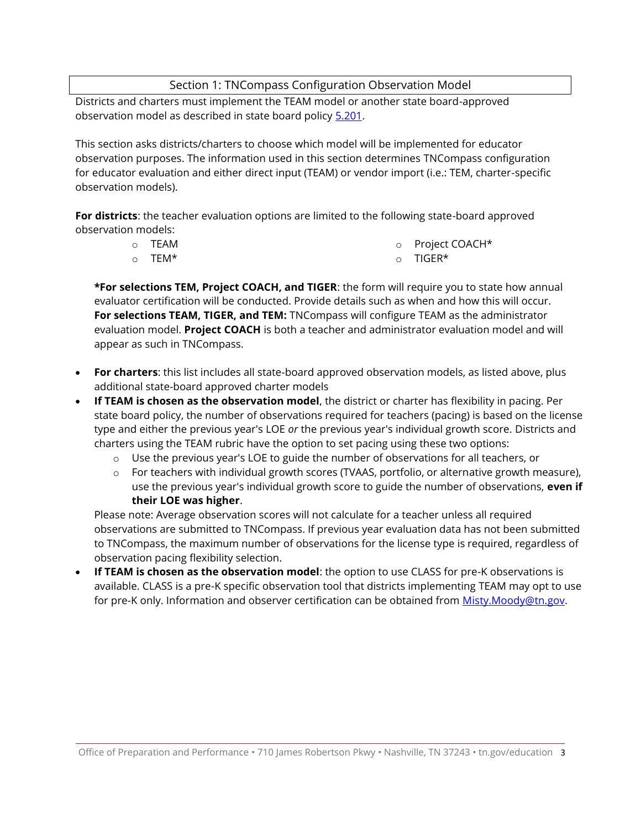# Section 1: TNCompass Configuration Observation Model

Districts and charters must implement the TEAM model or another state board-approved observation model as described in state board policy [5.201.](https://www.tn.gov/content/dam/tn/stateboardofeducation/documents/2021-sbe-meetings/july-23%2c-2021-sbe-meeting/7-23-21%20III%20CC%20Educator%20Evaluation%20Policy%205.201%20Clean.pdf)

This section asks districts/charters to choose which model will be implemented for educator observation purposes. The information used in this section determines TNCompass configuration for educator evaluation and either direct input (TEAM) or vendor import (i.e.: TEM, charter-specific observation models).

**For districts**: the teacher evaluation options are limited to the following state-board approved observation models:

| ○ TEAM  | o Project COACH* |
|---------|------------------|
| _______ |                  |

o TEM\*

o TIGER\*

**\*For selections TEM, Project COACH, and TIGER**: the form will require you to state how annual evaluator certification will be conducted. Provide details such as when and how this will occur. **For selections TEAM, TIGER, and TEM:** TNCompass will configure TEAM as the administrator evaluation model. **Project COACH** is both a teacher and administrator evaluation model and will appear as such in TNCompass.

- **For charters**: this list includes all state-board approved observation models, as listed above, plus additional state-board approved charter models
- **If TEAM is chosen as the observation model**, the district or charter has flexibility in pacing. Per state board policy, the number of observations required for teachers (pacing) is based on the license type and either the previous year's LOE *or* the previous year's individual growth score. Districts and charters using the TEAM rubric have the option to set pacing using these two options:
	- $\circ$  Use the previous year's LOE to guide the number of observations for all teachers, or
	- $\circ$  For teachers with individual growth scores (TVAAS, portfolio, or alternative growth measure), use the previous year's individual growth score to guide the number of observations, **even if their LOE was higher**.

Please note: Average observation scores will not calculate for a teacher unless all required observations are submitted to TNCompass. If previous year evaluation data has not been submitted to TNCompass, the maximum number of observations for the license type is required, regardless of observation pacing flexibility selection.

• **If TEAM is chosen as the observation model**: the option to use CLASS for pre-K observations is available. CLASS is a pre-K specific observation tool that districts implementing TEAM may opt to use for pre-K only. Information and observer certification can be obtained from [Misty.Moody@tn.gov.](mailto:Misty.Moody@tn.gov)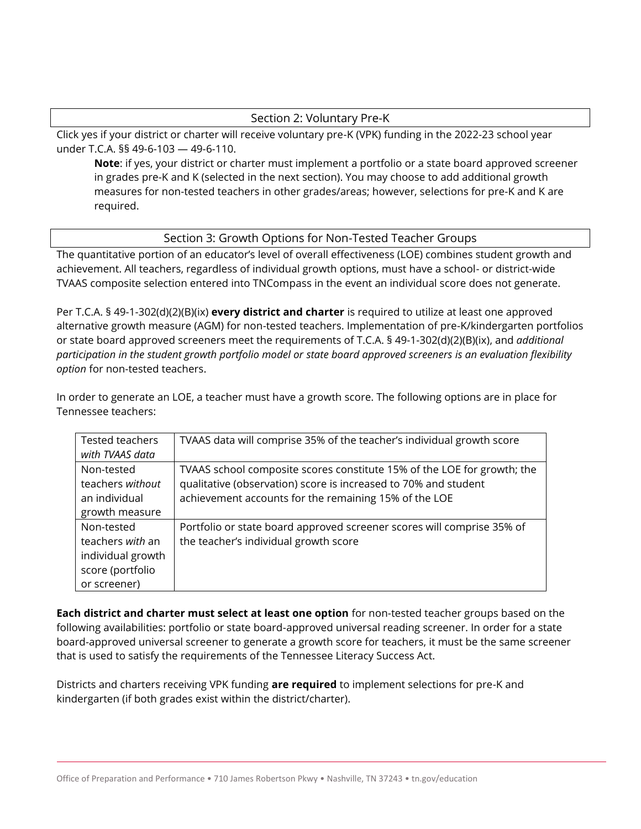### Section 2: Voluntary Pre-K

Click yes if your district or charter will receive voluntary pre-K (VPK) funding in the 2022-23 school year under T.C.A. §§ 49-6-103 — 49-6-110.

**Note**: if yes, your district or charter must implement a portfolio or a state board approved screener in grades pre-K and K (selected in the next section). You may choose to add additional growth measures for non-tested teachers in other grades/areas; however, selections for pre-K and K are required.

#### Section 3: Growth Options for Non-Tested Teacher Groups

The quantitative portion of an educator's level of overall effectiveness (LOE) combines student growth and achievement. All teachers, regardless of individual growth options, must have a school- or district-wide TVAAS composite selection entered into TNCompass in the event an individual score does not generate.

Per T.C.A. § 49-1-302(d)(2)(B)(ix) **every district and charter** is required to utilize at least one approved alternative growth measure (AGM) for non-tested teachers. Implementation of pre-K/kindergarten portfolios or state board approved screeners meet the requirements of T.C.A. § 49-1-302(d)(2)(B)(ix), and *additional participation in the student growth portfolio model or state board approved screeners is an evaluation flexibility option* for non-tested teachers.

In order to generate an LOE, a teacher must have a growth score. The following options are in place for Tennessee teachers:

| Tested teachers   | TVAAS data will comprise 35% of the teacher's individual growth score   |
|-------------------|-------------------------------------------------------------------------|
| with TVAAS data   |                                                                         |
| Non-tested        | TVAAS school composite scores constitute 15% of the LOE for growth; the |
| teachers without  | qualitative (observation) score is increased to 70% and student         |
| an individual     | achievement accounts for the remaining 15% of the LOE                   |
| growth measure    |                                                                         |
| Non-tested        | Portfolio or state board approved screener scores will comprise 35% of  |
| teachers with an  | the teacher's individual growth score                                   |
| individual growth |                                                                         |
| score (portfolio  |                                                                         |
| or screener)      |                                                                         |

**Each district and charter must select at least one option** for non-tested teacher groups based on the following availabilities: portfolio or state board-approved universal reading screener. In order for a state board-approved universal screener to generate a growth score for teachers, it must be the same screener that is used to satisfy the requirements of the Tennessee Literacy Success Act.

Districts and charters receiving VPK funding **are required** to implement selections for pre-K and kindergarten (if both grades exist within the district/charter).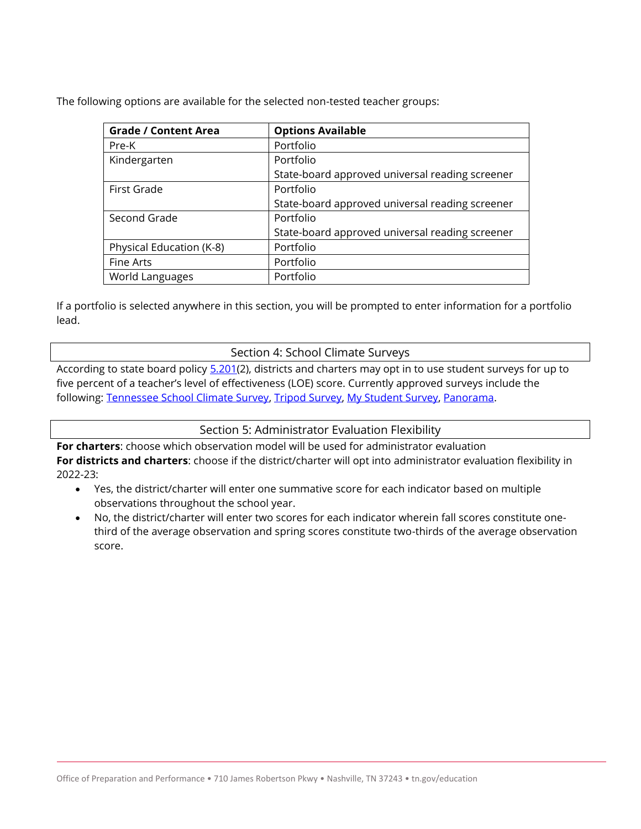The following options are available for the selected non-tested teacher groups:

| <b>Grade / Content Area</b> | <b>Options Available</b>                        |  |  |
|-----------------------------|-------------------------------------------------|--|--|
| Pre-K                       | Portfolio                                       |  |  |
| Kindergarten                | Portfolio                                       |  |  |
|                             | State-board approved universal reading screener |  |  |
| First Grade                 | Portfolio                                       |  |  |
|                             | State-board approved universal reading screener |  |  |
| Second Grade                | Portfolio                                       |  |  |
|                             | State-board approved universal reading screener |  |  |
| Physical Education (K-8)    | Portfolio                                       |  |  |
| Fine Arts                   | Portfolio                                       |  |  |
| World Languages             | Portfolio                                       |  |  |

If a portfolio is selected anywhere in this section, you will be prompted to enter information for a portfolio lead.

#### Section 4: School Climate Surveys

According to state board policy [5.201\(](https://www.tn.gov/content/dam/tn/stateboardofeducation/documents/2021-sbe-meetings/july-23%2c-2021-sbe-meeting/7-23-21%20III%20CC%20Educator%20Evaluation%20Policy%205.201%20Clean.pdf)2), districts and charters may opt in to use student surveys for up to five percent of a teacher's level of effectiveness (LOE) score. Currently approved surveys include the following: [Tennessee School Climate Survey,](https://www.tn.gov/education/health-and-safety/school-climate.html) [Tripod Survey,](https://tripoded.com/) [My Student Survey,](mystudentsurvey.com) [Panorama.](https://www.panoramaed.com/surveys)

Section 5: Administrator Evaluation Flexibility

**For charters**: choose which observation model will be used for administrator evaluation **For districts and charters**: choose if the district/charter will opt into administrator evaluation flexibility in 2022-23:

- Yes, the district/charter will enter one summative score for each indicator based on multiple observations throughout the school year.
- No, the district/charter will enter two scores for each indicator wherein fall scores constitute onethird of the average observation and spring scores constitute two-thirds of the average observation score.